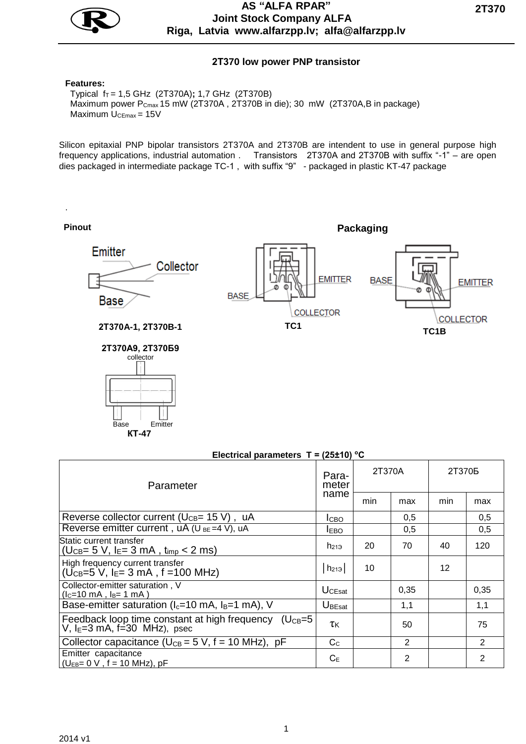

## **AS "АLFA RPAR" Joint Stock Company ALFA Riga, Latvia www.alfarzpp.lv; alfa@alfarzpp.lv**

## **2Т370 low power PNP transistor**

#### **Features:**

.

Base Emitter  **КТ-47** 

Typical f<sub>T</sub> = 1,5 GHz (2Т370A); 1,7 GHz (2Т370В) Maximum power P<sub>Cmax</sub> 15 mW (2T370A, 2T370B in die); 30 mW (2T370A,B in package) Maximum U<sub>CEmax</sub> = 15V

Silicon epitaxial PNP bipolar transistors 2T370A and 2T370B are intendent to use in general purpose high frequency applications, industrial automation . Transistors 2T370A and 2T370B with suffix "-1" – are open dies packaged in intermediate package TC-1 , with suffix "9" - packaged in plastic KT-47 package

**Pinout Pinout Packaging** Emitter Collector **EMITTER BASE EMITTER BASE Base** COLLECTOR **COLLECTOR 2Т370A-1, 2Т370B-1 TC1 TC1B 2Т370А9, 2Т370Б9** collector

### **Electrical parameters T = (25±10) <sup>о</sup>С**

| Parameter                                                                                     | Para-<br>meter<br>name     | 2T370A |              | 2T370 <sub>b</sub> |                |
|-----------------------------------------------------------------------------------------------|----------------------------|--------|--------------|--------------------|----------------|
|                                                                                               |                            | min    | max          | min                | max            |
| Reverse collector current ( $U_{CB}$ = 15 V), uA                                              | <b>І</b> сво               |        | 0,5          |                    | 0,5            |
| Reverse emitter current, $uA (U_{BE} = 4 V)$ , $uA$                                           | <b>IEBO</b>                |        | 0.5          |                    | 0,5            |
| Static current transfer<br>$(U_{CB} = 5 V, I_{E} = 3 mA, t_{imp} < 2 ms)$                     | $h_{219}$                  | 20     | 70           | 40                 | 120            |
| High frequency current transfer<br>( $U_{CB}=5$ V, I <sub>E</sub> = 3 mA, f = 100 MHz)        | $h_{213}$                  | 10     |              | 12                 |                |
| Collector-emitter saturation, V<br>$(lc=10 \text{ mA}, l_B=1 \text{ mA})$                     | $U_{CEsat}$                |        | 0,35         |                    | 0,35           |
| Base-emitter saturation ( $I_c$ =10 mA, $I_B$ =1 mA), V                                       | $U_{\tiny \textsf{BEsat}}$ |        | 1,1          |                    | 1,1            |
| Feedback loop time constant at high frequency $(U_{CB}=5$<br>V, $I_E=3$ mA, $f=30$ MHz), psec | τκ                         |        | 50           |                    | 75             |
| Collector capacitance ( $U_{CB} = 5$ V, f = 10 MHz), pF                                       | C <sub>c</sub>             |        | $\mathbf{2}$ |                    | $\overline{2}$ |
| Emitter capacitance<br>$\bigcup_{EB} = 0 \text{ V}$ , f = 10 MHz), pF                         | $C_{E}$                    |        | 2            |                    | 2              |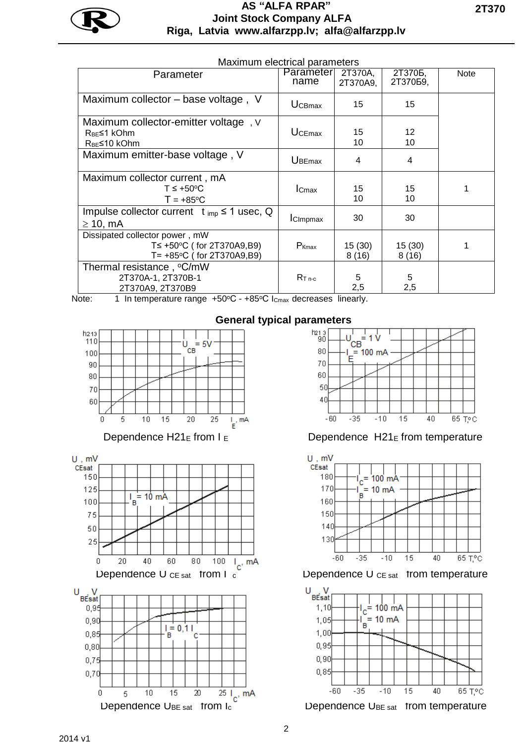

# **AS "АLFA RPAR" Joint Stock Company ALFA Riga, Latvia www.alfarzpp.lv; alfa@alfarzpp.lv**

| Maximum electrical parameters                                                                      |                   |                     |                                |             |  |  |  |
|----------------------------------------------------------------------------------------------------|-------------------|---------------------|--------------------------------|-------------|--|--|--|
| Parameter                                                                                          | Parameter<br>name | 2T370A,<br>2T370A9, | 2T370 <sub>b</sub><br>2Т370Б9, | <b>Note</b> |  |  |  |
| Maximum collector – base voltage, V                                                                | <b>UCBmax</b>     | 15                  | 15                             |             |  |  |  |
| Maximum collector-emitter voltage, V<br>R <sub>BF</sub> ≤1 kOhm<br>R <sub>BE</sub> ≤10 kOhm        | $U$ CEmax         | 15<br>10            | 12<br>10                       |             |  |  |  |
| Maximum emitter-base voltage, V                                                                    | <b>UBEmax</b>     | 4                   | 4                              |             |  |  |  |
| Maximum collector current, mA<br>$T \leq +50^{\circ}C$<br>$T = +85^{\circ}C$                       | lc <sub>max</sub> | 15<br>10            | 15<br>10                       |             |  |  |  |
| Impulse collector current $t_{\text{imp}} \leq 1$ usec, Q<br>$\geq$ 10, mA                         | ICImpmax          | 30                  | 30                             |             |  |  |  |
| Dissipated collector power, mW<br>T≤ +50°C (for 2T370A9,B9)<br>$T = +85^{\circ}C$ (for 2T370A9,B9) | P <sub>Kmax</sub> | 15(30)<br>8(16)     | 15(30)<br>8(16)                |             |  |  |  |
| Thermal resistance, °C/mW<br>2T370A-1, 2T370B-1<br>2T370A9, 2T370B9                                | $R_{T,n,c}$       | 5<br>2,5            | 5<br>2,5                       |             |  |  |  |

Note: 1 In temperature range +50°C - +85°C I<sub>Cmax</sub> decreases linearly.









Dependence  $H21_E$  from  $I_E$  Dependence  $H21_E$  from temperature